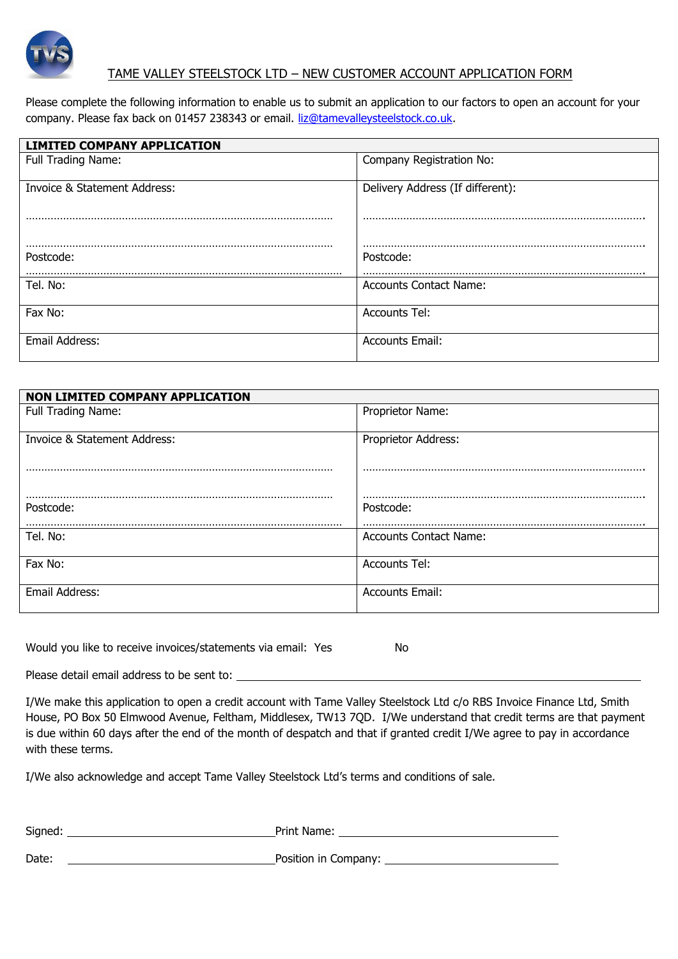

# TAME VALLEY STEELSTOCK LTD – NEW CUSTOMER ACCOUNT APPLICATION FORM

Please complete the following information to enable us to submit an application to our factors to open an account for your company. Please fax back on 01457 238343 or email. [liz@tamevalleysteelstock.co.uk.](mailto:liz@tamevalleysteelstock.co.uk)

| <b>LIMITED COMPANY APPLICATION</b> |                                  |
|------------------------------------|----------------------------------|
| Full Trading Name:                 | Company Registration No:         |
|                                    |                                  |
| Invoice & Statement Address:       | Delivery Address (If different): |
|                                    |                                  |
|                                    |                                  |
|                                    |                                  |
| Postcode:                          | Postcode:                        |
|                                    |                                  |
| Tel. No:                           | <b>Accounts Contact Name:</b>    |
|                                    |                                  |
| Fax No:                            | <b>Accounts Tel:</b>             |
|                                    |                                  |
| Email Address:                     | <b>Accounts Email:</b>           |
|                                    |                                  |

| NON LIMITED COMPANY APPLICATION |                               |
|---------------------------------|-------------------------------|
| Full Trading Name:              | Proprietor Name:              |
| Invoice & Statement Address:    | Proprietor Address:           |
| Postcode:                       | Postcode:                     |
| Tel. No:                        | <b>Accounts Contact Name:</b> |
| Fax No:                         | <b>Accounts Tel:</b>          |
| Email Address:                  | <b>Accounts Email:</b>        |

Would you like to receive invoices/statements via email: Yes No

Please detail email address to be sent to: \_\_

I/We make this application to open a credit account with Tame Valley Steelstock Ltd c/o RBS Invoice Finance Ltd, Smith House, PO Box 50 Elmwood Avenue, Feltham, Middlesex, TW13 7QD. I/We understand that credit terms are that payment is due within 60 days after the end of the month of despatch and that if granted credit I/We agree to pay in accordance with these terms.

I/We also acknowledge and accept Tame Valley Steelstock Ltd's terms and conditions of sale.

| Signed: | Print Name:          |
|---------|----------------------|
| Date:   | Position in Company: |